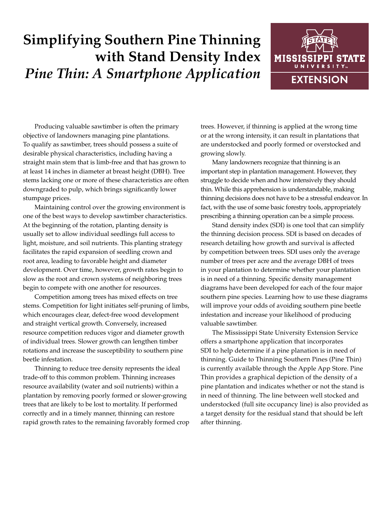## **Simplifying Southern Pine Thinning with Stand Density Index** *Pine Thin: A Smartphone Application*



Producing valuable sawtimber is often the primary objective of landowners managing pine plantations. To qualify as sawtimber, trees should possess a suite of desirable physical characteristics, including having a straight main stem that is limb-free and that has grown to at least 14 inches in diameter at breast height (DBH). Tree stems lacking one or more of these characteristics are often downgraded to pulp, which brings significantly lower stumpage prices.

Maintaining control over the growing environment is one of the best ways to develop sawtimber characteristics. At the beginning of the rotation, planting density is usually set to allow individual seedlings full access to light, moisture, and soil nutrients. This planting strategy facilitates the rapid expansion of seedling crown and root area, leading to favorable height and diameter development. Over time, however, growth rates begin to slow as the root and crown systems of neighboring trees begin to compete with one another for resources.

Competition among trees has mixed effects on tree stems. Competition for light initiates self-pruning of limbs, which encourages clear, defect-free wood development and straight vertical growth. Conversely, increased resource competition reduces vigor and diameter growth of individual trees. Slower growth can lengthen timber rotations and increase the susceptibility to southern pine beetle infestation.

Thinning to reduce tree density represents the ideal trade-off to this common problem. Thinning increases resource availability (water and soil nutrients) within a plantation by removing poorly formed or slower-growing trees that are likely to be lost to mortality. If performed correctly and in a timely manner, thinning can restore rapid growth rates to the remaining favorably formed crop

trees. However, if thinning is applied at the wrong time or at the wrong intensity, it can result in plantations that are understocked and poorly formed or overstocked and growing slowly.

Many landowners recognize that thinning is an important step in plantation management. However, they struggle to decide when and how intensively they should thin. While this apprehension is understandable, making thinning decisions does not have to be a stressful endeavor. In fact, with the use of some basic forestry tools, appropriately prescribing a thinning operation can be a simple process.

Stand density index (SDI) is one tool that can simplify the thinning decision process. SDI is based on decades of research detailing how growth and survival is affected by competition between trees. SDI uses only the average number of trees per acre and the average DBH of trees in your plantation to determine whether your plantation is in need of a thinning. Specific density management diagrams have been developed for each of the four major southern pine species. Learning how to use these diagrams will improve your odds of avoiding southern pine beetle infestation and increase your likelihood of producing valuable sawtimber.

The Mississippi State University Extension Service offers a smartphone application that incorporates SDI to help determine if a pine planation is in need of thinning. Guide to Thinning Southern Pines (Pine Thin) is currently available through the Apple App Store. Pine Thin provides a graphical depiction of the density of a pine plantation and indicates whether or not the stand is in need of thinning. The line between well stocked and understocked (full site occupancy line) is also provided as a target density for the residual stand that should be left after thinning.